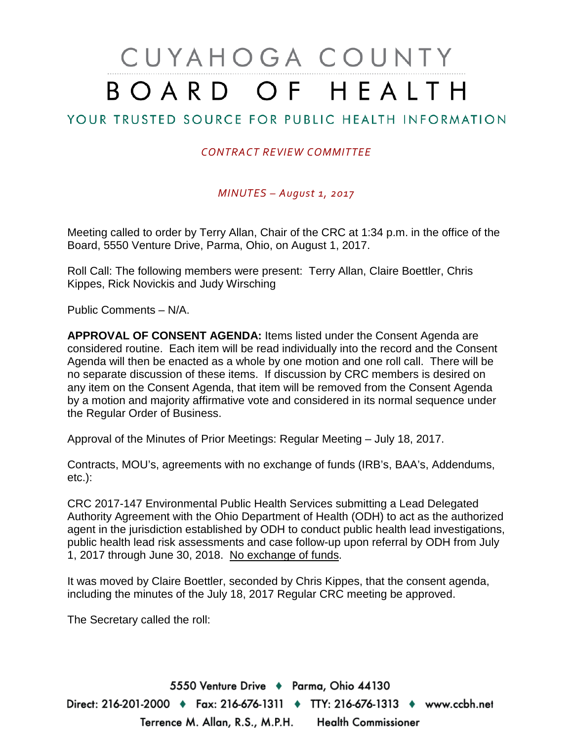# CUYAHOGA COUNTY BOARD OF HEALTH

## YOUR TRUSTED SOURCE FOR PUBLIC HEALTH INFORMATION

#### *CONTRACT REVIEW COMMITTEE*

*MINUTES – August 1, 2017*

Meeting called to order by Terry Allan, Chair of the CRC at 1:34 p.m. in the office of the Board, 5550 Venture Drive, Parma, Ohio, on August 1, 2017.

Roll Call: The following members were present: Terry Allan, Claire Boettler, Chris Kippes, Rick Novickis and Judy Wirsching

Public Comments – N/A.

**APPROVAL OF CONSENT AGENDA:** Items listed under the Consent Agenda are considered routine. Each item will be read individually into the record and the Consent Agenda will then be enacted as a whole by one motion and one roll call. There will be no separate discussion of these items. If discussion by CRC members is desired on any item on the Consent Agenda, that item will be removed from the Consent Agenda by a motion and majority affirmative vote and considered in its normal sequence under the Regular Order of Business.

Approval of the Minutes of Prior Meetings: Regular Meeting – July 18, 2017.

Contracts, MOU's, agreements with no exchange of funds (IRB's, BAA's, Addendums, etc.):

CRC 2017-147 Environmental Public Health Services submitting a Lead Delegated Authority Agreement with the Ohio Department of Health (ODH) to act as the authorized agent in the jurisdiction established by ODH to conduct public health lead investigations, public health lead risk assessments and case follow-up upon referral by ODH from July 1, 2017 through June 30, 2018. No exchange of funds.

It was moved by Claire Boettler, seconded by Chris Kippes, that the consent agenda, including the minutes of the July 18, 2017 Regular CRC meeting be approved.

The Secretary called the roll:

5550 Venture Drive + Parma, Ohio 44130 Direct: 216-201-2000 ♦ Fax: 216-676-1311 ♦ TTY: 216-676-1313 ♦ www.ccbh.net Terrence M. Allan, R.S., M.P.H. Health Commissioner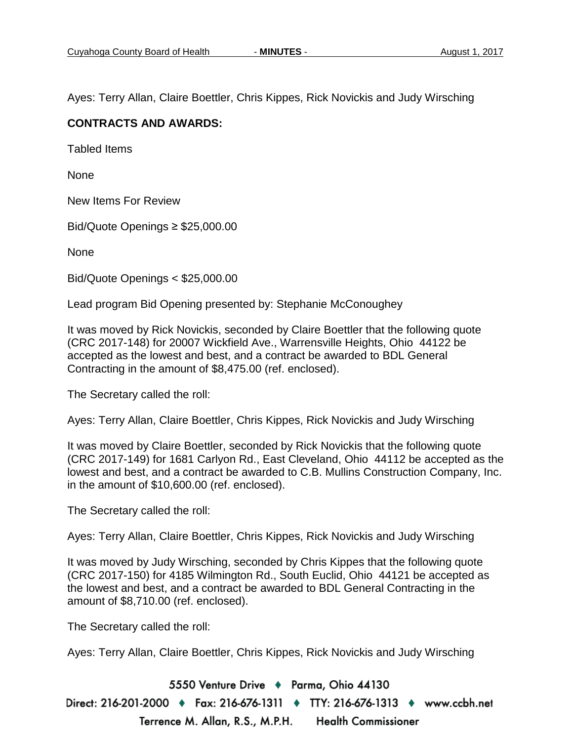Ayes: Terry Allan, Claire Boettler, Chris Kippes, Rick Novickis and Judy Wirsching

#### **CONTRACTS AND AWARDS:**

Tabled Items

None

New Items For Review

Bid/Quote Openings ≥ \$25,000.00

None

Bid/Quote Openings < \$25,000.00

Lead program Bid Opening presented by: Stephanie McConoughey

It was moved by Rick Novickis, seconded by Claire Boettler that the following quote (CRC 2017-148) for 20007 Wickfield Ave., Warrensville Heights, Ohio 44122 be accepted as the lowest and best, and a contract be awarded to BDL General Contracting in the amount of \$8,475.00 (ref. enclosed).

The Secretary called the roll:

Ayes: Terry Allan, Claire Boettler, Chris Kippes, Rick Novickis and Judy Wirsching

It was moved by Claire Boettler, seconded by Rick Novickis that the following quote (CRC 2017-149) for 1681 Carlyon Rd., East Cleveland, Ohio 44112 be accepted as the lowest and best, and a contract be awarded to C.B. Mullins Construction Company, Inc. in the amount of \$10,600.00 (ref. enclosed).

The Secretary called the roll:

Ayes: Terry Allan, Claire Boettler, Chris Kippes, Rick Novickis and Judy Wirsching

It was moved by Judy Wirsching, seconded by Chris Kippes that the following quote (CRC 2017-150) for 4185 Wilmington Rd., South Euclid, Ohio 44121 be accepted as the lowest and best, and a contract be awarded to BDL General Contracting in the amount of \$8,710.00 (ref. enclosed).

The Secretary called the roll:

Ayes: Terry Allan, Claire Boettler, Chris Kippes, Rick Novickis and Judy Wirsching

5550 Venture Drive + Parma, Ohio 44130

Direct: 216-201-2000 ♦ Fax: 216-676-1311 ♦ TTY: 216-676-1313 ♦ www.ccbh.net Terrence M. Allan, R.S., M.P.H. **Health Commissioner**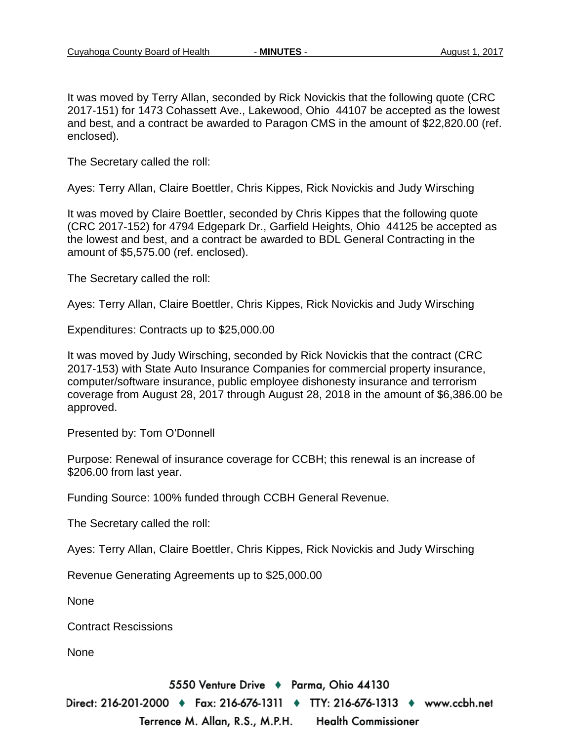It was moved by Terry Allan, seconded by Rick Novickis that the following quote (CRC 2017-151) for 1473 Cohassett Ave., Lakewood, Ohio 44107 be accepted as the lowest and best, and a contract be awarded to Paragon CMS in the amount of \$22,820.00 (ref. enclosed).

The Secretary called the roll:

Ayes: Terry Allan, Claire Boettler, Chris Kippes, Rick Novickis and Judy Wirsching

It was moved by Claire Boettler, seconded by Chris Kippes that the following quote (CRC 2017-152) for 4794 Edgepark Dr., Garfield Heights, Ohio 44125 be accepted as the lowest and best, and a contract be awarded to BDL General Contracting in the amount of \$5,575.00 (ref. enclosed).

The Secretary called the roll:

Ayes: Terry Allan, Claire Boettler, Chris Kippes, Rick Novickis and Judy Wirsching

Expenditures: Contracts up to \$25,000.00

It was moved by Judy Wirsching, seconded by Rick Novickis that the contract (CRC 2017-153) with State Auto Insurance Companies for commercial property insurance, computer/software insurance, public employee dishonesty insurance and terrorism coverage from August 28, 2017 through August 28, 2018 in the amount of \$6,386.00 be approved.

Presented by: Tom O'Donnell

Purpose: Renewal of insurance coverage for CCBH; this renewal is an increase of \$206.00 from last year.

Funding Source: 100% funded through CCBH General Revenue.

The Secretary called the roll:

Ayes: Terry Allan, Claire Boettler, Chris Kippes, Rick Novickis and Judy Wirsching

Revenue Generating Agreements up to \$25,000.00

None

Contract Rescissions

None

5550 Venture Drive + Parma, Ohio 44130

Direct: 216-201-2000 ♦ Fax: 216-676-1311 ♦ TTY: 216-676-1313 ♦ www.ccbh.net Terrence M. Allan, R.S., M.P.H. **Health Commissioner**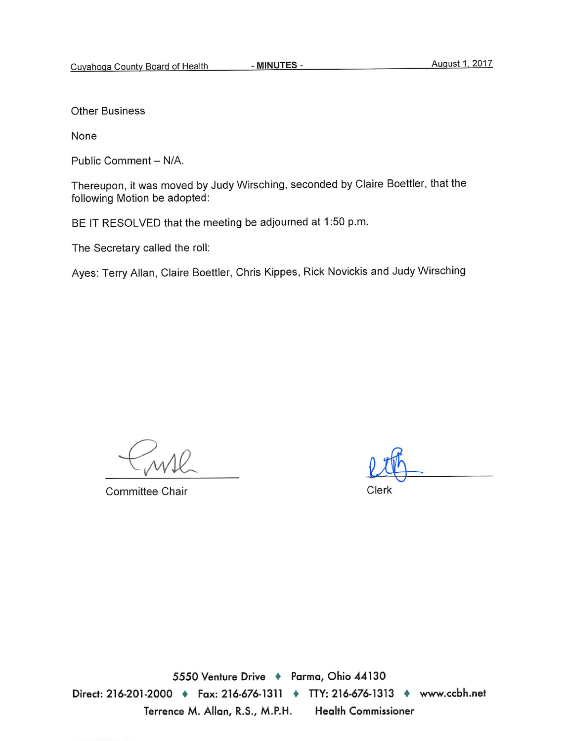**Other Business** 

None

Public Comment - N/A.

Thereupon, it was moved by Judy Wirsching, seconded by Claire Boettler, that the following Motion be adopted:

BE IT RESOLVED that the meeting be adjourned at 1:50 p.m.

The Secretary called the roll:

Ayes: Terry Allan, Claire Boettler, Chris Kippes, Rick Novickis and Judy Wirsching

Committee Chair

Clerk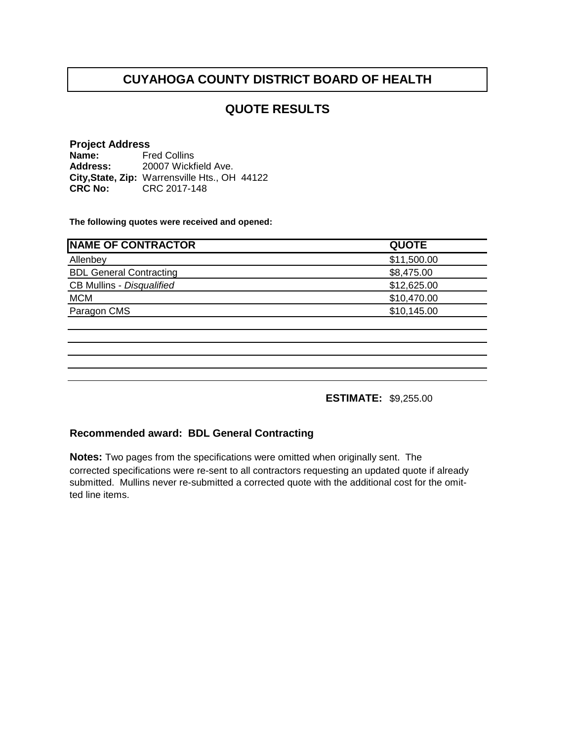#### **QUOTE RESULTS**

#### **Project Address Name: Address: City,State, Zip:** Warrensville Hts., OH 44122**CRC No:** CRC 2017-148 Fred Collins 20007 Wickfield Ave.

**The following quotes were received and opened:**

| <b>QUOTE</b> |
|--------------|
| \$11,500.00  |
| \$8,475.00   |
| \$12,625.00  |
| \$10,470.00  |
| \$10,145.00  |
|              |

**ESTIMATE:** \$9,255.00

#### **Recommended award: BDL General Contracting**

**Notes:** Two pages from the specifications were omitted when originally sent. The corrected specifications were re-sent to all contractors requesting an updated quote if already submitted. Mullins never re-submitted a corrected quote with the additional cost for the omitted line items.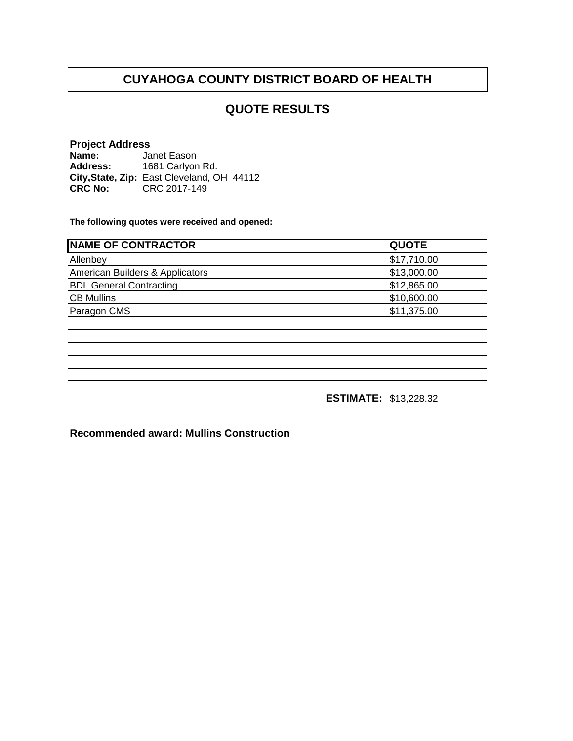### **QUOTE RESULTS**

#### **Project Address**

**Name: Address: City,State, Zip: CRC No:** CRC 2017-149 Janet Eason 1681 Carlyon Rd. East Cleveland, OH 44112

**The following quotes were received and opened:**

| <b>QUOTE</b> |
|--------------|
| \$17,710.00  |
| \$13,000.00  |
| \$12,865.00  |
| \$10,600.00  |
| \$11,375.00  |
|              |

**ESTIMATE:** \$13,228.32

**Recommended award: Mullins Construction**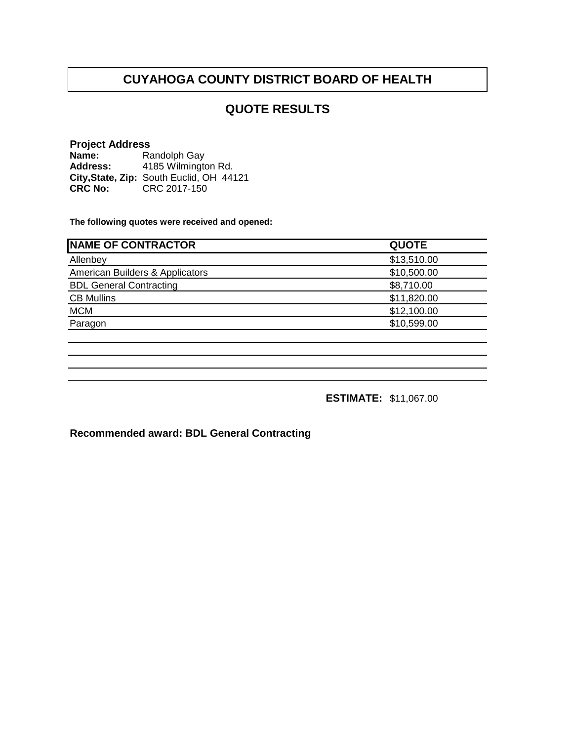### **QUOTE RESULTS**

#### **Project Address**

**Name: Address:** City, State, Zip: South Euclid, OH 44121 **CRC No: CRC 2017-150** Randolph Gay 4185 Wilmington Rd.

**The following quotes were received and opened:**

| <b>NAME OF CONTRACTOR</b>       | <b>QUOTE</b> |
|---------------------------------|--------------|
| Allenbey                        | \$13,510.00  |
| American Builders & Applicators | \$10,500.00  |
| <b>BDL General Contracting</b>  | \$8,710.00   |
| <b>CB Mullins</b>               | \$11,820.00  |
| <b>MCM</b>                      | \$12,100.00  |
| Paragon                         | \$10,599.00  |
|                                 |              |

**ESTIMATE:** \$11,067.00

**Recommended award: BDL General Contracting**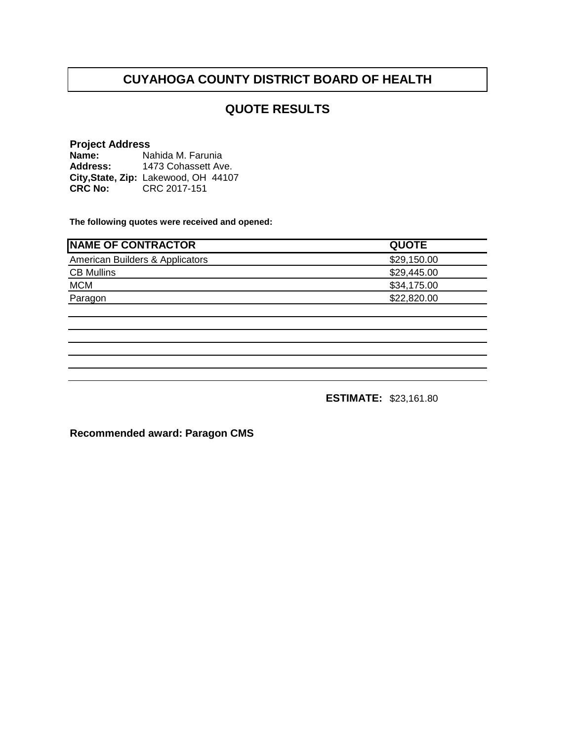### **QUOTE RESULTS**

## **Project Address**

**Name:** Nahida M. Farunia **Address: City,State, Zip:** Lakewood, OH 44107**CRC No: CRC 2017-151** 1473 Cohassett Ave.

**The following quotes were received and opened:**

| <b>INAME OF CONTRACTOR</b>      | <b>QUOTE</b> |
|---------------------------------|--------------|
| American Builders & Applicators | \$29,150.00  |
| <b>CB Mullins</b>               | \$29,445.00  |
| <b>MCM</b>                      | \$34,175.00  |
| Paragon                         | \$22,820.00  |
|                                 |              |

**ESTIMATE:** \$23,161.80

**Recommended award: Paragon CMS**